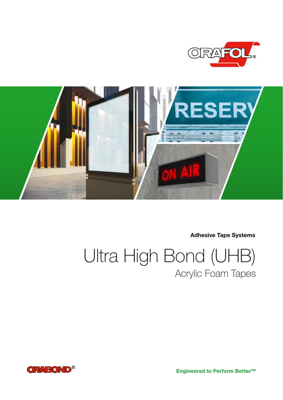



Adhesive Tape Systems

Ultra High Bond (UHB) Acrylic Foam Tapes



Engineered to Perform Better™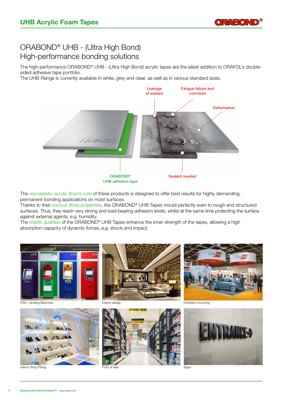

## ORABOND® UHB - (Ultra High Bond) High-performance bonding solutions

The high-performance ORABOND® UHB - (Ultra High Bond) acrylic tapes are the latest addition to ORAFOL's doublesided adhesive tape portfolio.

The UHB-Range is currently available in white, grey and clear, as well as in various standard sizes.



The viscoelastic acrylic (foam) core of these products is designed to offer best results for highly demanding, permanent bonding applications on most surfaces.

Thanks to their viscous (flow) properties, the ORABOND® UHB Tapes mould perfectly even to rough and structured surfaces. Thus, they reach very strong and load-bearing adhesion levels, whilst at the same time protecting the surface against external agents, e.g. humidity.

The elastic qualities of the ORABOND® UHB Tapes enhance the inner strength of the tapes, allowing a high absorption capacity of dynamic forces, e.g. shock and impact.





an Chan de

**HOLD** 





Signs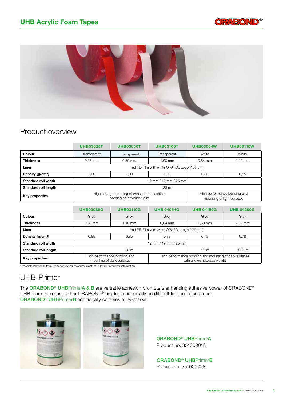



## Product overview

|                              | <b>UHB03025T</b>                            | <b>UHB03050T</b>                                                               | <b>UHB03100T</b>                                           | <b>UHB03064W</b> | <b>UHB03110W</b> |  |  |  |
|------------------------------|---------------------------------------------|--------------------------------------------------------------------------------|------------------------------------------------------------|------------------|------------------|--|--|--|
| Colour                       | Transparent                                 | Transparent                                                                    | Transparent                                                | White            | White            |  |  |  |
| <b>Thickness</b>             | $0.25$ mm                                   | $0.50$ mm                                                                      | 1.00 mm                                                    | $0.64$ mm        | 1,10 mm          |  |  |  |
| Liner                        | red PE-Film with white ORAFOL Logo (130 µm) |                                                                                |                                                            |                  |                  |  |  |  |
| Density [g/cm <sup>3</sup> ] | 1,00                                        | 00, ا                                                                          | 1,00                                                       | 0,85             | 0,85             |  |  |  |
| Standard roll width          | 12 mm / 19 mm / 25 mm                       |                                                                                |                                                            |                  |                  |  |  |  |
| Standard roll length         | 33 m                                        |                                                                                |                                                            |                  |                  |  |  |  |
| Key properties               |                                             | High-strength bonding of transparent materials<br>needing an "invisible" joint | High performance bonding and<br>mounting of light surfaces |                  |                  |  |  |  |

|                              | <b>UHB03080G</b>                            | <b>UHB03110G</b>                                          | <b>UHB 04064G</b>                                                                     | <b>UHB 04150G</b> | <b>UHB 04200G</b> |  |  |  |
|------------------------------|---------------------------------------------|-----------------------------------------------------------|---------------------------------------------------------------------------------------|-------------------|-------------------|--|--|--|
| Colour                       | Grey                                        | Grey                                                      | Grey                                                                                  | Grey              | Grey              |  |  |  |
| <b>Thickness</b>             | $0.80$ mm                                   | 1.10 mm                                                   | $0.64$ mm                                                                             | $1.50$ mm         | 2,00 mm           |  |  |  |
| Liner                        | red PE-Film with white ORAFOL Logo (130 µm) |                                                           |                                                                                       |                   |                   |  |  |  |
| Density [g/cm <sup>3</sup> ] | 0.85                                        | 0.85                                                      | 0,78                                                                                  | 0.78              | 0,78              |  |  |  |
| Standard roll width          | 12 mm / 19 mm / 25 mm                       |                                                           |                                                                                       |                   |                   |  |  |  |
| Standard roll length         | 33 <sub>m</sub>                             |                                                           |                                                                                       | 25 <sub>m</sub>   | 16.5 m            |  |  |  |
| Key properties               |                                             | High performance bonding and<br>mounting of dark surfaces | High performance bonding and mounting of dark surfaces<br>with a lower product weight |                   |                   |  |  |  |

\* Possible roll widths from 3mm depending on series. Contact ORAFOL for further information.

## UHB-Primer

The ORABOND® UHBPrimerA & B are versatile adhesion promoters enhancing adhesive power of ORABOND® UHB foam tapes and other ORABOND® products especially on difficult-to-bond elastomers. ORABOND® UHBPrimerB additionally contains a UV-marker.



ORABOND® UHBPrimerA Product no. 351009018

ORABOND® UHBPrimerB Product no. 351009028